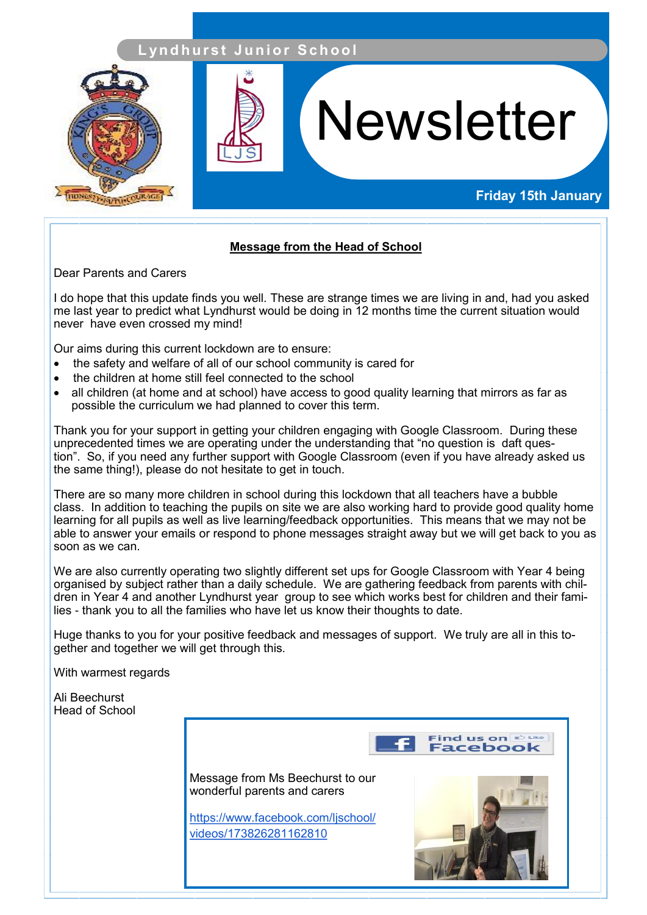## **L yn d h u r s t J u n i o r S c h o o l**



# **Newsletter**

## **Friday 15th January**

### **Message from the Head of School**

Dear Parents and Carers

I do hope that this update finds you well. These are strange times we are living in and, had you asked me last year to predict what Lyndhurst would be doing in 12 months time the current situation would never have even crossed my mind!

Our aims during this current lockdown are to ensure:

- the safety and welfare of all of our school community is cared for
- the children at home still feel connected to the school
- all children (at home and at school) have access to good quality learning that mirrors as far as possible the curriculum we had planned to cover this term.

 Thank you for your support in getting your children engaging with Google Classroom. During these unprecedented times we are operating under the understanding that "no question is daft question". So, if you need any further support with Google Classroom (even if you have already asked us the same thing!), please do not hesitate to get in touch.

There are so many more children in school during this lockdown that all teachers have a bubble class. In addition to teaching the pupils on site we are also working hard to provide good quality home learning for all pupils as well as live learning/feedback opportunities. This means that we may not be able to answer your emails or respond to phone messages straight away but we will get back to you as soon as we can.

We are also currently operating two slightly different set ups for Google Classroom with Year 4 being organised by subject rather than a daily schedule. We are gathering feedback from parents with children in Year 4 and another Lyndhurst year group to see which works best for children and their families - thank you to all the families who have let us know their thoughts to date.

Huge thanks to you for your positive feedback and messages of support. We truly are all in this together and together we will get through this.

With warmest regards

Ali Beechurst Head of School

Find us on  $\mathbb{R}^{\text{Like}}$ acebool Message from Ms Beechurst to our wonderful parents and carers [https://www.facebook.com/ljschool/](https://www.facebook.com/ljschool/videos/173826281162810) [videos/173826281162810](https://www.facebook.com/ljschool/videos/173826281162810)